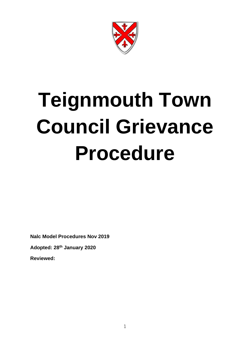

# **Teignmouth Town Council Grievance Procedure**

**Nalc Model Procedures Nov 2019 Adopted: 28th January 2020**

**Reviewed:**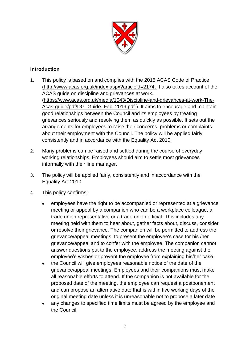

# **Introduction**

- 1. This policy is based on and complies with the 2015 ACAS Code of Practice [\(http://www.acas.org.uk/index.aspx?articleid=2174.](http://www.acas.org.uk/index.aspx?articleid=2174) It also takes account of the ACAS guide on discipline and grievances at work. [\(https://www.acas.org.uk/media/1043/Discipline-and-grievances-at-work-The-](https://www.acas.org.uk/media/1043/Discipline-and-grievances-at-work-The-Acas-guide/pdf/DG_Guide_Feb_2019.pdf)[Acas-guide/pdf/DG\\_Guide\\_Feb\\_2019.pdf](https://www.acas.org.uk/media/1043/Discipline-and-grievances-at-work-The-Acas-guide/pdf/DG_Guide_Feb_2019.pdf) ). It aims to encourage and maintain good relationships between the Council and its employees by treating grievances seriously and resolving them as quickly as possible. It sets out the arrangements for employees to raise their concerns, problems or complaints about their employment with the Council. The policy will be applied fairly, consistently and in accordance with the Equality Act 2010.
- 2. Many problems can be raised and settled during the course of everyday working relationships. Employees should aim to settle most grievances informally with their line manager.
- 3. The policy will be applied fairly, consistently and in accordance with the Equality Act 2010
- 4. This policy confirms:
	- employees have the right to be accompanied or represented at a grievance meeting or appeal by a companion who can be a workplace colleague, a trade union representative or a trade union official. This includes any meeting held with them to hear about, gather facts about, discuss, consider or resolve their grievance. The companion will be permitted to address the grievance/appeal meetings, to present the employee's case for his /her grievance/appeal and to confer with the employee. The companion cannot answer questions put to the employee, address the meeting against the employee's wishes or prevent the employee from explaining his/her case.
	- the Council will give employees reasonable notice of the date of the grievance/appeal meetings. Employees and their companions must make all reasonable efforts to attend. If the companion is not available for the proposed date of the meeting, the employee can request a postponement and can propose an alternative date that is within five working days of the original meeting date unless it is unreasonable not to propose a later date
	- any changes to specified time limits must be agreed by the employee and the Council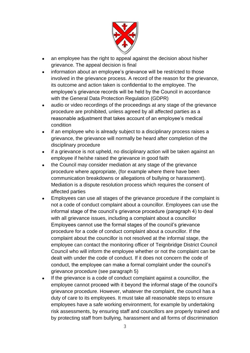

- an employee has the right to appeal against the decision about his/her grievance. The appeal decision is final
- information about an employee's grievance will be restricted to those involved in the grievance process. A record of the reason for the grievance, its outcome and action taken is confidential to the employee. The employee's grievance records will be held by the Council in accordance with the General Data Protection Regulation (GDPR)
- audio or video recordings of the proceedings at any stage of the grievance procedure are prohibited, unless agreed by all affected parties as a reasonable adjustment that takes account of an employee's medical condition
- if an employee who is already subject to a disciplinary process raises a grievance, the grievance will normally be heard after completion of the disciplinary procedure
- if a grievance is not upheld, no disciplinary action will be taken against an employee if he/she raised the grievance in good faith
- the Council may consider mediation at any stage of the grievance procedure where appropriate, (for example where there have been communication breakdowns or allegations of bullying or harassment). Mediation is a dispute resolution process which requires the consent of affected parties
- Employees can use all stages of the grievance procedure if the complaint is not a code of conduct complaint about a councillor. Employees can use the informal stage of the council's grievance procedure (paragraph 4) to deal with all grievance issues, including a complaint about a councillor Employees cannot use the formal stages of the council's grievance procedure for a code of conduct complaint about a councillor. If the complaint about the councillor is not resolved at the informal stage, the employee can contact the monitoring officer of Teignbridge District Council Council who will inform the employee whether or not the complaint can be dealt with under the code of conduct. If it does not concern the code of conduct, the employee can make a formal complaint under the council's grievance procedure (see paragraph 5)
- If the grievance is a code of conduct complaint against a councillor, the employee cannot proceed with it beyond the informal stage of the council's grievance procedure. However, whatever the complaint, the council has a duty of care to its employees. It must take all reasonable steps to ensure employees have a safe working environment, for example by undertaking risk assessments, by ensuring staff and councillors are properly trained and by protecting staff from bullying, harassment and all forms of discrimination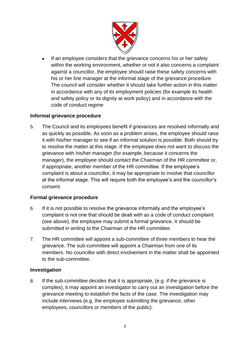

If an employee considers that the grievance concerns his or her safety within the working environment, whether or not it also concerns a complaint against a councillor, the employee should raise these safety concerns with his or her line manager at the informal stage of the grievance procedure. The council will consider whether it should take further action in this matter in accordance with any of its employment policies (for example its health and safety policy or its dignity at work policy) and in accordance with the code of conduct regime

## **Informal grievance procedure**

5. The Council and its employees benefit if grievances are resolved informally and as quickly as possible. As soon as a problem arises, the employee should raise it with his/her manager to see if an informal solution is possible. Both should try to resolve the matter at this stage. If the employee does not want to discuss the grievance with his/her manager (for example, because it concerns the manager), the employee should contact the Chairman of the HR committee or, if appropriate, another member of the HR committee. If the employee's complaint is about a councillor, it may be appropriate to involve that councillor at the informal stage. This will require both the employee's and the councillor's consent.

#### **Formal grievance procedure**

- 6. If it is not possible to resolve the grievance informally and the employee's complaint is not one that should be dealt with as a code of conduct complaint (see above), the employee may submit a formal grievance. It should be submitted in writing to the Chairman of the HR committee.
- 7. The HR committee will appoint a sub-committee of three members to hear the grievance. The sub-committee will appoint a Chairman from one of its members. No councillor with direct involvement in the matter shall be appointed to the sub-committee.

#### **Investigation**

8. If the sub-committee decides that it is appropriate, (e.g. if the grievance is complex), it may appoint an investigator to carry out an investigation before the grievance meeting to establish the facts of the case. The investigation may include interviews (e.g. the employee submitting the grievance, other employees, councillors or members of the public).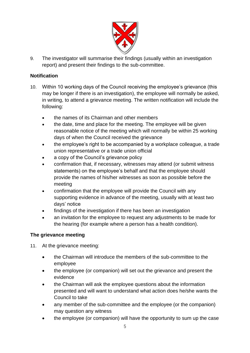

9. The investigator will summarise their findings (usually within an investigation report) and present their findings to the sub-committee.

## **Notification**

- 10. Within 10 working days of the Council receiving the employee's grievance (this may be longer if there is an investigation), the employee will normally be asked, in writing, to attend a grievance meeting. The written notification will include the following:
	- the names of its Chairman and other members
	- the date, time and place for the meeting. The employee will be given reasonable notice of the meeting which will normally be within 25 working days of when the Council received the grievance
	- the employee's right to be accompanied by a workplace colleague, a trade union representative or a trade union official
	- a copy of the Council's grievance policy
	- confirmation that, if necessary, witnesses may attend (or submit witness statements) on the employee's behalf and that the employee should provide the names of his/her witnesses as soon as possible before the meeting
	- confirmation that the employee will provide the Council with any supporting evidence in advance of the meeting, usually with at least two days' notice
	- findings of the investigation if there has been an investigation
	- an invitation for the employee to request any adjustments to be made for the hearing (for example where a person has a health condition).

# **The grievance meeting**

- 11. At the grievance meeting:
	- the Chairman will introduce the members of the sub-committee to the employee
	- the employee (or companion) will set out the grievance and present the evidence
	- the Chairman will ask the employee questions about the information presented and will want to understand what action does he/she wants the Council to take
	- any member of the sub-committee and the employee (or the companion) may question any witness
	- the employee (or companion) will have the opportunity to sum up the case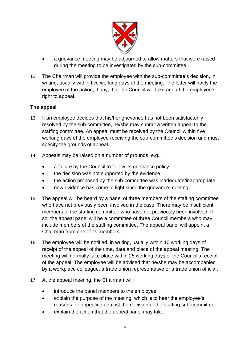

- a grievance meeting may be adjourned to allow matters that were raised during the meeting to be investigated by the sub-committee.
- 12. The Chairman will provide the employee with the sub-committee's decision, in writing, usually within five working days of the meeting. The letter will notify the employee of the action, if any, that the Council will take and of the employee's right to appeal.

## **The appeal**

- 13. If an employee decides that his/her grievance has not been satisfactorily resolved by the sub-committee, he/she may submit a written appeal to the staffing committee. An appeal must be received by the Council within five working days of the employee receiving the sub-committee's decision and must specify the grounds of appeal.
- 14. Appeals may be raised on a number of grounds, e.g.:
	- a failure by the Council to follow its grievance policy
	- the decision was not supported by the evidence
	- the action proposed by the sub-committee was inadequate/inappropriate
	- new evidence has come to light since the grievance meeting.
- 15. The appeal will be heard by a panel of three members of the staffing committee who have not previously been involved in the case. There may be insufficient members of the staffing committee who have not previously been involved. If so, the appeal panel will be a committee of three Council members who may include members of the staffing committee. The appeal panel will appoint a Chairman from one of its members.
- 16. The employee will be notified, in writing, usually within 10 working days of receipt of the appeal of the time, date and place of the appeal meeting. The meeting will normally take place within 25 working days of the Council's receipt of the appeal. The employee will be advised that he/she may be accompanied by a workplace colleague, a trade union representative or a trade union official.
- 17. At the appeal meeting, the Chairman will:
	- introduce the panel members to the employee
	- explain the purpose of the meeting, which is to hear the employee's reasons for appealing against the decision of the staffing sub-committee
	- explain the action that the appeal panel may take.